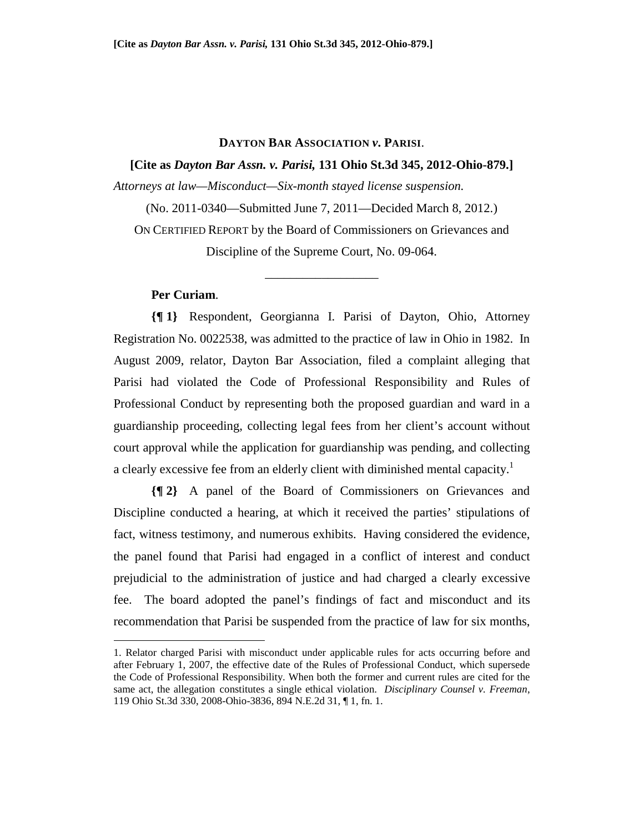### **DAYTON BAR ASSOCIATION** *v***. PARISI**.

**[Cite as** *Dayton Bar Assn. v. Parisi,* **131 Ohio St.3d 345, 2012-Ohio-879.]** 

*Attorneys at law—Misconduct—Six-month stayed license suspension.* 

(No. 2011-0340—Submitted June 7, 2011—Decided March 8, 2012.) ON CERTIFIED REPORT by the Board of Commissioners on Grievances and Discipline of the Supreme Court, No. 09-064.

\_\_\_\_\_\_\_\_\_\_\_\_\_\_\_\_\_\_

# **Per Curiam**.

<u>.</u>

**{¶ 1}** Respondent, Georgianna I. Parisi of Dayton, Ohio, Attorney Registration No. 0022538, was admitted to the practice of law in Ohio in 1982. In August 2009, relator, Dayton Bar Association, filed a complaint alleging that Parisi had violated the Code of Professional Responsibility and Rules of Professional Conduct by representing both the proposed guardian and ward in a guardianship proceeding, collecting legal fees from her client's account without court approval while the application for guardianship was pending, and collecting a clearly excessive fee from an elderly client with diminished mental capacity.<sup>1</sup>

**{¶ 2}** A panel of the Board of Commissioners on Grievances and Discipline conducted a hearing, at which it received the parties' stipulations of fact, witness testimony, and numerous exhibits. Having considered the evidence, the panel found that Parisi had engaged in a conflict of interest and conduct prejudicial to the administration of justice and had charged a clearly excessive fee. The board adopted the panel's findings of fact and misconduct and its recommendation that Parisi be suspended from the practice of law for six months,

<sup>1.</sup> Relator charged Parisi with misconduct under applicable rules for acts occurring before and after February 1, 2007, the effective date of the Rules of Professional Conduct, which supersede the Code of Professional Responsibility. When both the former and current rules are cited for the same act, the allegation constitutes a single ethical violation. *Disciplinary Counsel v. Freeman*, 119 Ohio St.3d 330, 2008-Ohio-3836, 894 N.E.2d 31, ¶ 1, fn. 1.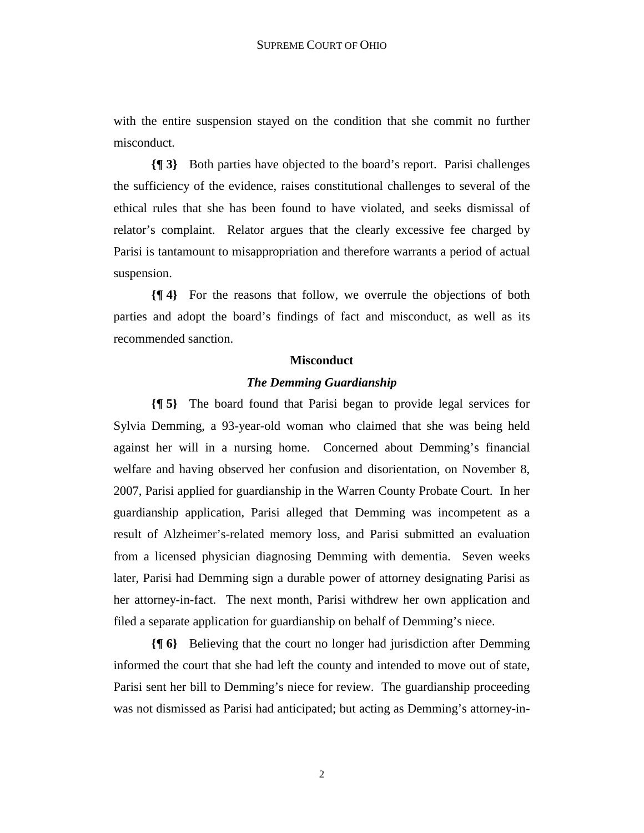with the entire suspension stayed on the condition that she commit no further misconduct.

**{¶ 3}** Both parties have objected to the board's report. Parisi challenges the sufficiency of the evidence, raises constitutional challenges to several of the ethical rules that she has been found to have violated, and seeks dismissal of relator's complaint. Relator argues that the clearly excessive fee charged by Parisi is tantamount to misappropriation and therefore warrants a period of actual suspension.

**{¶ 4}** For the reasons that follow, we overrule the objections of both parties and adopt the board's findings of fact and misconduct, as well as its recommended sanction.

#### **Misconduct**

### *The Demming Guardianship*

**{¶ 5}** The board found that Parisi began to provide legal services for Sylvia Demming, a 93-year-old woman who claimed that she was being held against her will in a nursing home. Concerned about Demming's financial welfare and having observed her confusion and disorientation, on November 8, 2007, Parisi applied for guardianship in the Warren County Probate Court. In her guardianship application, Parisi alleged that Demming was incompetent as a result of Alzheimer's-related memory loss, and Parisi submitted an evaluation from a licensed physician diagnosing Demming with dementia. Seven weeks later, Parisi had Demming sign a durable power of attorney designating Parisi as her attorney-in-fact. The next month, Parisi withdrew her own application and filed a separate application for guardianship on behalf of Demming's niece.

**{¶ 6}** Believing that the court no longer had jurisdiction after Demming informed the court that she had left the county and intended to move out of state, Parisi sent her bill to Demming's niece for review. The guardianship proceeding was not dismissed as Parisi had anticipated; but acting as Demming's attorney-in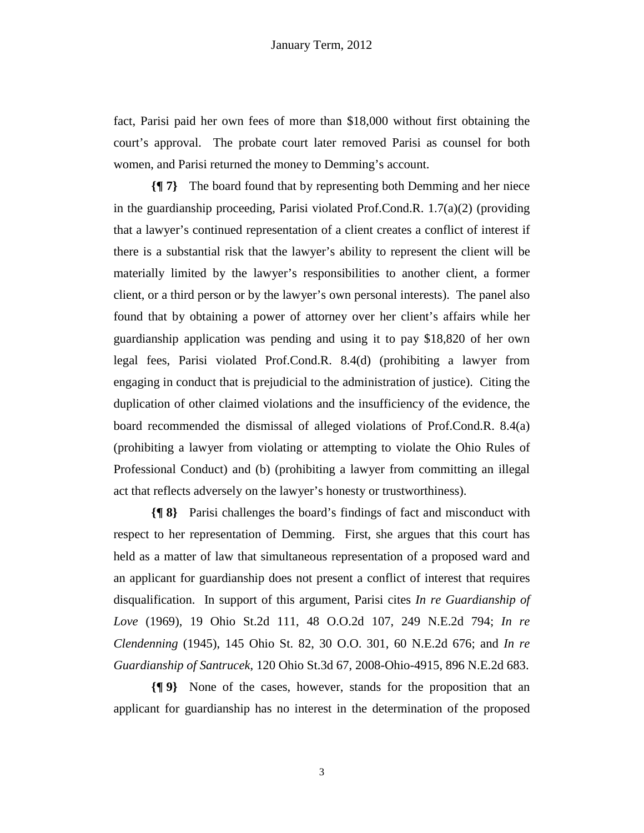fact, Parisi paid her own fees of more than \$18,000 without first obtaining the court's approval. The probate court later removed Parisi as counsel for both women, and Parisi returned the money to Demming's account.

**{¶ 7}** The board found that by representing both Demming and her niece in the guardianship proceeding, Parisi violated Prof.Cond.R. 1.7(a)(2) (providing that a lawyer's continued representation of a client creates a conflict of interest if there is a substantial risk that the lawyer's ability to represent the client will be materially limited by the lawyer's responsibilities to another client, a former client, or a third person or by the lawyer's own personal interests). The panel also found that by obtaining a power of attorney over her client's affairs while her guardianship application was pending and using it to pay \$18,820 of her own legal fees, Parisi violated Prof.Cond.R. 8.4(d) (prohibiting a lawyer from engaging in conduct that is prejudicial to the administration of justice). Citing the duplication of other claimed violations and the insufficiency of the evidence, the board recommended the dismissal of alleged violations of Prof.Cond.R. 8.4(a) (prohibiting a lawyer from violating or attempting to violate the Ohio Rules of Professional Conduct) and (b) (prohibiting a lawyer from committing an illegal act that reflects adversely on the lawyer's honesty or trustworthiness).

**{¶ 8}** Parisi challenges the board's findings of fact and misconduct with respect to her representation of Demming. First, she argues that this court has held as a matter of law that simultaneous representation of a proposed ward and an applicant for guardianship does not present a conflict of interest that requires disqualification. In support of this argument, Parisi cites *In re Guardianship of Love* (1969), 19 Ohio St.2d 111, 48 O.O.2d 107, 249 N.E.2d 794; *In re Clendenning* (1945), 145 Ohio St. 82, 30 O.O. 301, 60 N.E.2d 676; and *In re Guardianship of Santrucek*, 120 Ohio St.3d 67, 2008-Ohio-4915, 896 N.E.2d 683.

**{¶ 9}** None of the cases, however, stands for the proposition that an applicant for guardianship has no interest in the determination of the proposed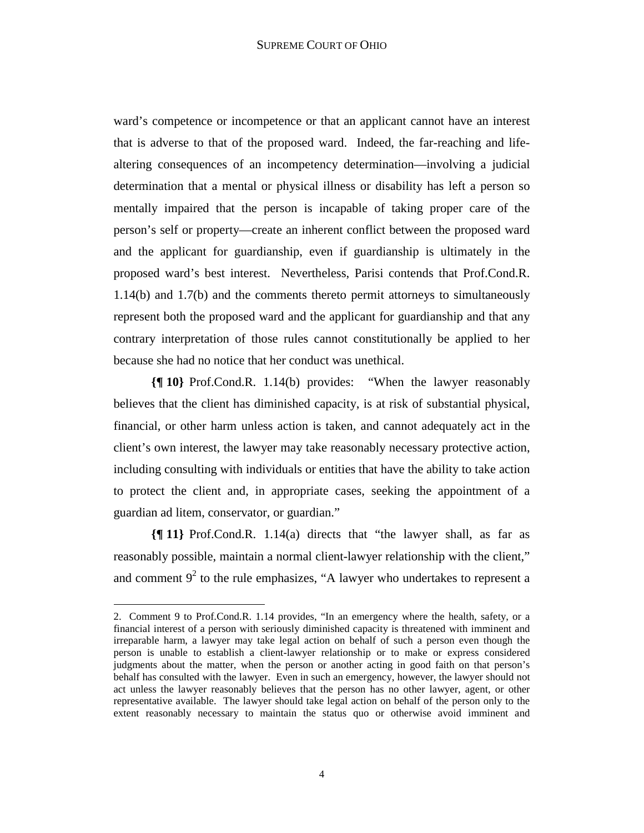ward's competence or incompetence or that an applicant cannot have an interest that is adverse to that of the proposed ward. Indeed, the far-reaching and lifealtering consequences of an incompetency determination—involving a judicial determination that a mental or physical illness or disability has left a person so mentally impaired that the person is incapable of taking proper care of the person's self or property—create an inherent conflict between the proposed ward and the applicant for guardianship, even if guardianship is ultimately in the proposed ward's best interest. Nevertheless, Parisi contends that Prof.Cond.R. 1.14(b) and 1.7(b) and the comments thereto permit attorneys to simultaneously represent both the proposed ward and the applicant for guardianship and that any contrary interpretation of those rules cannot constitutionally be applied to her because she had no notice that her conduct was unethical.

**{¶ 10}** Prof.Cond.R. 1.14(b) provides: "When the lawyer reasonably believes that the client has diminished capacity, is at risk of substantial physical, financial, or other harm unless action is taken, and cannot adequately act in the client's own interest, the lawyer may take reasonably necessary protective action, including consulting with individuals or entities that have the ability to take action to protect the client and, in appropriate cases, seeking the appointment of a guardian ad litem, conservator, or guardian."

**{¶ 11}** Prof.Cond.R. 1.14(a) directs that "the lawyer shall, as far as reasonably possible, maintain a normal client-lawyer relationship with the client," and comment  $9<sup>2</sup>$  to the rule emphasizes, "A lawyer who undertakes to represent a

<sup>2.</sup> Comment 9 to Prof.Cond.R. 1.14 provides, "In an emergency where the health, safety, or a financial interest of a person with seriously diminished capacity is threatened with imminent and irreparable harm, a lawyer may take legal action on behalf of such a person even though the person is unable to establish a client-lawyer relationship or to make or express considered judgments about the matter, when the person or another acting in good faith on that person's behalf has consulted with the lawyer. Even in such an emergency, however, the lawyer should not act unless the lawyer reasonably believes that the person has no other lawyer, agent, or other representative available. The lawyer should take legal action on behalf of the person only to the extent reasonably necessary to maintain the status quo or otherwise avoid imminent and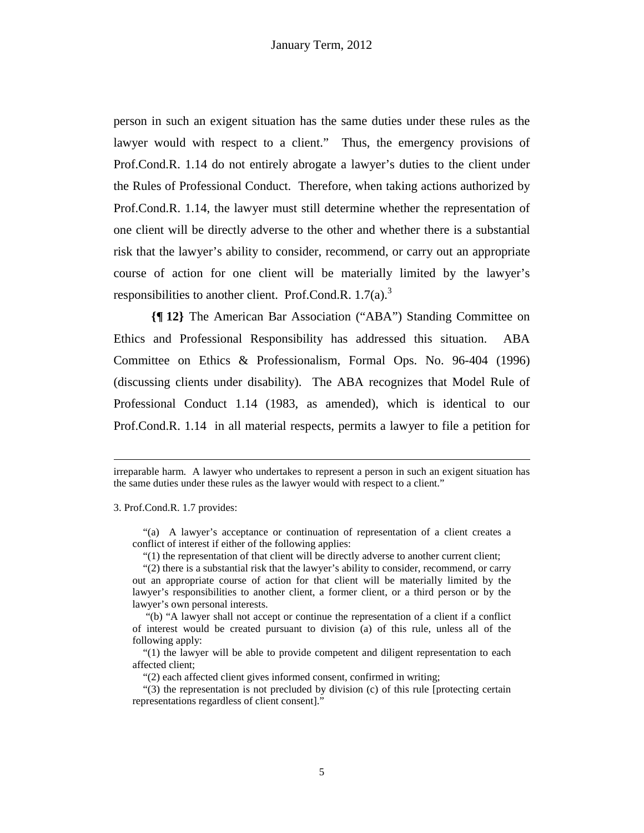person in such an exigent situation has the same duties under these rules as the lawyer would with respect to a client." Thus, the emergency provisions of Prof.Cond.R. 1.14 do not entirely abrogate a lawyer's duties to the client under the Rules of Professional Conduct. Therefore, when taking actions authorized by Prof.Cond.R. 1.14, the lawyer must still determine whether the representation of one client will be directly adverse to the other and whether there is a substantial risk that the lawyer's ability to consider, recommend, or carry out an appropriate course of action for one client will be materially limited by the lawyer's responsibilities to another client. Prof.Cond.R.  $1.7(a)$ .<sup>3</sup>

**{¶ 12}** The American Bar Association ("ABA") Standing Committee on Ethics and Professional Responsibility has addressed this situation. ABA Committee on Ethics & Professionalism, Formal Ops. No. 96-404 (1996) (discussing clients under disability). The ABA recognizes that Model Rule of Professional Conduct 1.14 (1983, as amended), which is identical to our Prof.Cond.R. 1.14 in all material respects, permits a lawyer to file a petition for

#### 3. Prof.Cond.R. 1.7 provides:

1

 "(a) A lawyer's acceptance or continuation of representation of a client creates a conflict of interest if either of the following applies:

"(1) the representation of that client will be directly adverse to another current client;

 "(2) there is a substantial risk that the lawyer's ability to consider, recommend, or carry out an appropriate course of action for that client will be materially limited by the lawyer's responsibilities to another client, a former client, or a third person or by the lawyer's own personal interests.

irreparable harm. A lawyer who undertakes to represent a person in such an exigent situation has the same duties under these rules as the lawyer would with respect to a client."

 <sup>&</sup>quot;(b) "A lawyer shall not accept or continue the representation of a client if a conflict of interest would be created pursuant to division (a) of this rule, unless all of the following apply:

 <sup>&</sup>quot;(1) the lawyer will be able to provide competent and diligent representation to each affected client;

 <sup>&</sup>quot;(2) each affected client gives informed consent, confirmed in writing;

 <sup>&</sup>quot;(3) the representation is not precluded by division (c) of this rule [protecting certain representations regardless of client consent]."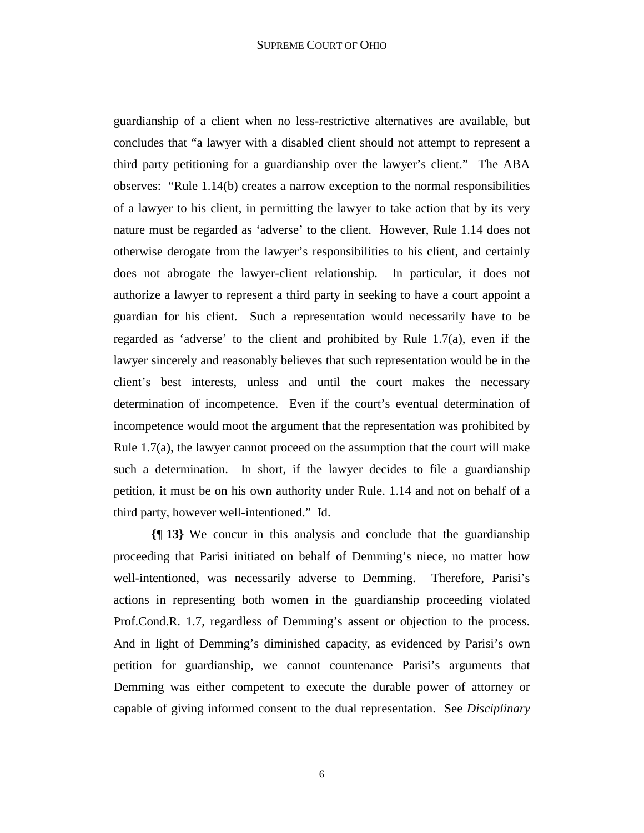guardianship of a client when no less-restrictive alternatives are available, but concludes that "a lawyer with a disabled client should not attempt to represent a third party petitioning for a guardianship over the lawyer's client." The ABA observes: "Rule 1.14(b) creates a narrow exception to the normal responsibilities of a lawyer to his client, in permitting the lawyer to take action that by its very nature must be regarded as 'adverse' to the client. However, Rule 1.14 does not otherwise derogate from the lawyer's responsibilities to his client, and certainly does not abrogate the lawyer-client relationship. In particular, it does not authorize a lawyer to represent a third party in seeking to have a court appoint a guardian for his client. Such a representation would necessarily have to be regarded as 'adverse' to the client and prohibited by Rule 1.7(a), even if the lawyer sincerely and reasonably believes that such representation would be in the client's best interests, unless and until the court makes the necessary determination of incompetence. Even if the court's eventual determination of incompetence would moot the argument that the representation was prohibited by Rule  $1.7(a)$ , the lawyer cannot proceed on the assumption that the court will make such a determination. In short, if the lawyer decides to file a guardianship petition, it must be on his own authority under Rule. 1.14 and not on behalf of a third party, however well-intentioned." Id.

**{¶ 13}** We concur in this analysis and conclude that the guardianship proceeding that Parisi initiated on behalf of Demming's niece, no matter how well-intentioned, was necessarily adverse to Demming. Therefore, Parisi's actions in representing both women in the guardianship proceeding violated Prof.Cond.R. 1.7, regardless of Demming's assent or objection to the process. And in light of Demming's diminished capacity, as evidenced by Parisi's own petition for guardianship, we cannot countenance Parisi's arguments that Demming was either competent to execute the durable power of attorney or capable of giving informed consent to the dual representation. See *Disciplinary*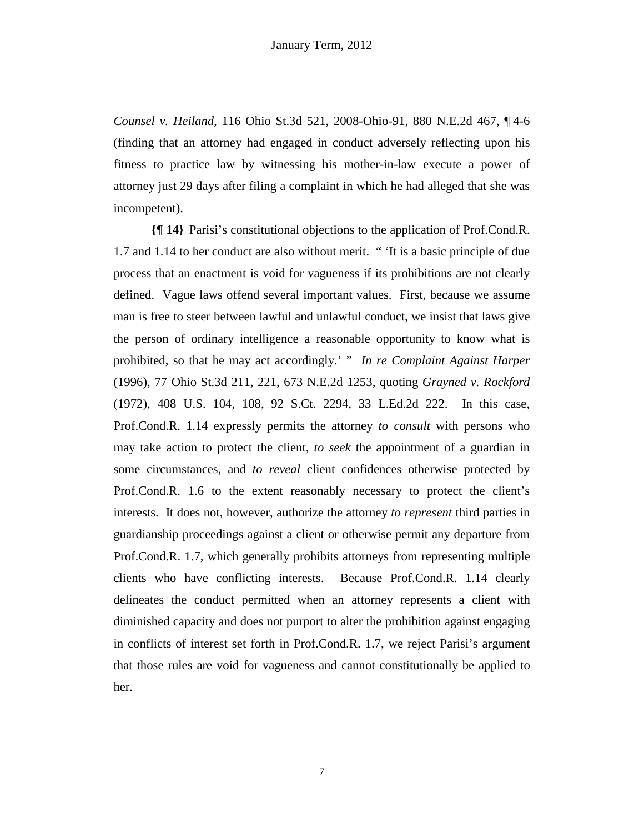*Counsel v. Heiland*, 116 Ohio St.3d 521, 2008-Ohio-91, 880 N.E.2d 467, ¶ 4-6 (finding that an attorney had engaged in conduct adversely reflecting upon his fitness to practice law by witnessing his mother-in-law execute a power of attorney just 29 days after filing a complaint in which he had alleged that she was incompetent).

**{¶ 14}** Parisi's constitutional objections to the application of Prof.Cond.R. 1.7 and 1.14 to her conduct are also without merit. " 'It is a basic principle of due process that an enactment is void for vagueness if its prohibitions are not clearly defined. Vague laws offend several important values. First, because we assume man is free to steer between lawful and unlawful conduct, we insist that laws give the person of ordinary intelligence a reasonable opportunity to know what is prohibited, so that he may act accordingly.' " *In re Complaint Against Harper*  (1996), 77 Ohio St.3d 211, 221, 673 N.E.2d 1253, quoting *Grayned v. Rockford* (1972), 408 U.S. 104, 108, 92 S.Ct. 2294, 33 L.Ed.2d 222. In this case, Prof.Cond.R. 1.14 expressly permits the attorney *to consult* with persons who may take action to protect the client, *to seek* the appointment of a guardian in some circumstances, and *to reveal* client confidences otherwise protected by Prof.Cond.R. 1.6 to the extent reasonably necessary to protect the client's interests. It does not, however, authorize the attorney *to represent* third parties in guardianship proceedings against a client or otherwise permit any departure from Prof.Cond.R. 1.7, which generally prohibits attorneys from representing multiple clients who have conflicting interests. Because Prof.Cond.R. 1.14 clearly delineates the conduct permitted when an attorney represents a client with diminished capacity and does not purport to alter the prohibition against engaging in conflicts of interest set forth in Prof.Cond.R. 1.7, we reject Parisi's argument that those rules are void for vagueness and cannot constitutionally be applied to her.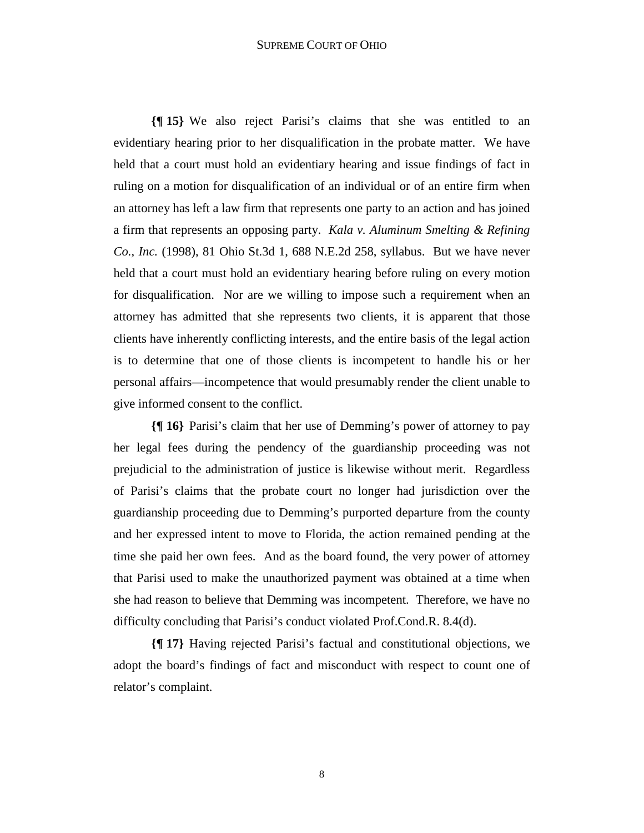## SUPREME COURT OF OHIO

**{¶ 15}** We also reject Parisi's claims that she was entitled to an evidentiary hearing prior to her disqualification in the probate matter. We have held that a court must hold an evidentiary hearing and issue findings of fact in ruling on a motion for disqualification of an individual or of an entire firm when an attorney has left a law firm that represents one party to an action and has joined a firm that represents an opposing party. *Kala v. Aluminum Smelting & Refining Co., Inc.* (1998), 81 Ohio St.3d 1, 688 N.E.2d 258, syllabus. But we have never held that a court must hold an evidentiary hearing before ruling on every motion for disqualification. Nor are we willing to impose such a requirement when an attorney has admitted that she represents two clients, it is apparent that those clients have inherently conflicting interests, and the entire basis of the legal action is to determine that one of those clients is incompetent to handle his or her personal affairs—incompetence that would presumably render the client unable to give informed consent to the conflict.

**{¶ 16}** Parisi's claim that her use of Demming's power of attorney to pay her legal fees during the pendency of the guardianship proceeding was not prejudicial to the administration of justice is likewise without merit. Regardless of Parisi's claims that the probate court no longer had jurisdiction over the guardianship proceeding due to Demming's purported departure from the county and her expressed intent to move to Florida, the action remained pending at the time she paid her own fees. And as the board found, the very power of attorney that Parisi used to make the unauthorized payment was obtained at a time when she had reason to believe that Demming was incompetent. Therefore, we have no difficulty concluding that Parisi's conduct violated Prof.Cond.R. 8.4(d).

**{¶ 17}** Having rejected Parisi's factual and constitutional objections, we adopt the board's findings of fact and misconduct with respect to count one of relator's complaint.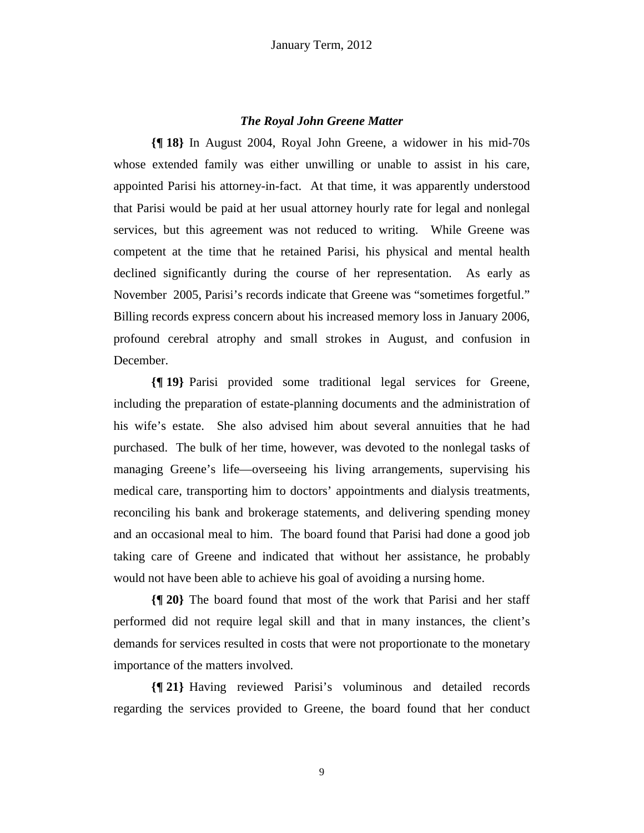# *The Royal John Greene Matter*

**{¶ 18}** In August 2004, Royal John Greene, a widower in his mid-70s whose extended family was either unwilling or unable to assist in his care, appointed Parisi his attorney-in-fact. At that time, it was apparently understood that Parisi would be paid at her usual attorney hourly rate for legal and nonlegal services, but this agreement was not reduced to writing. While Greene was competent at the time that he retained Parisi, his physical and mental health declined significantly during the course of her representation. As early as November 2005, Parisi's records indicate that Greene was "sometimes forgetful." Billing records express concern about his increased memory loss in January 2006, profound cerebral atrophy and small strokes in August, and confusion in December.

**{¶ 19}** Parisi provided some traditional legal services for Greene, including the preparation of estate-planning documents and the administration of his wife's estate. She also advised him about several annuities that he had purchased. The bulk of her time, however, was devoted to the nonlegal tasks of managing Greene's life—overseeing his living arrangements, supervising his medical care, transporting him to doctors' appointments and dialysis treatments, reconciling his bank and brokerage statements, and delivering spending money and an occasional meal to him. The board found that Parisi had done a good job taking care of Greene and indicated that without her assistance, he probably would not have been able to achieve his goal of avoiding a nursing home.

**{¶ 20}** The board found that most of the work that Parisi and her staff performed did not require legal skill and that in many instances, the client's demands for services resulted in costs that were not proportionate to the monetary importance of the matters involved.

**{¶ 21}** Having reviewed Parisi's voluminous and detailed records regarding the services provided to Greene, the board found that her conduct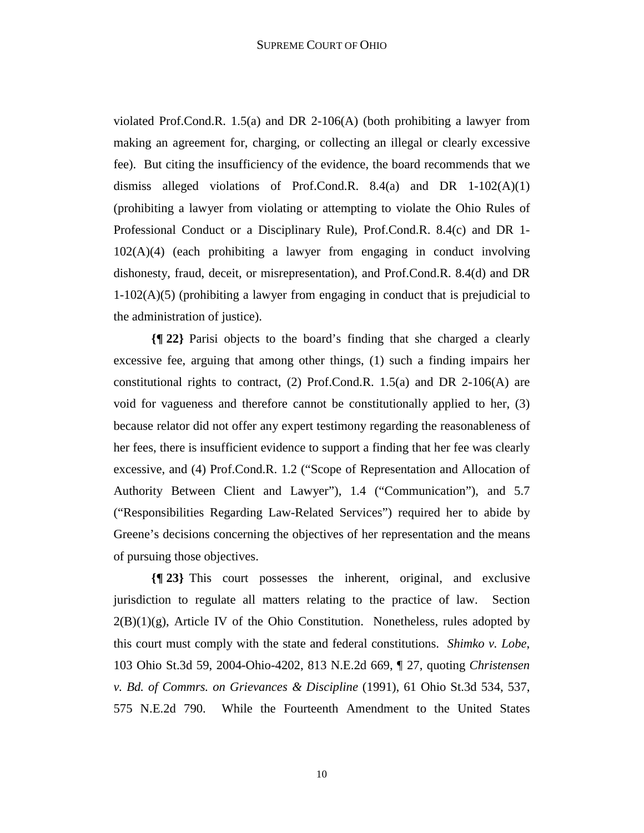violated Prof.Cond.R. 1.5(a) and DR 2-106(A) (both prohibiting a lawyer from making an agreement for, charging, or collecting an illegal or clearly excessive fee). But citing the insufficiency of the evidence, the board recommends that we dismiss alleged violations of Prof.Cond.R. 8.4(a) and DR 1-102(A)(1) (prohibiting a lawyer from violating or attempting to violate the Ohio Rules of Professional Conduct or a Disciplinary Rule), Prof.Cond.R. 8.4(c) and DR 1- 102(A)(4) (each prohibiting a lawyer from engaging in conduct involving dishonesty, fraud, deceit, or misrepresentation), and Prof.Cond.R. 8.4(d) and DR 1-102(A)(5) (prohibiting a lawyer from engaging in conduct that is prejudicial to the administration of justice).

**{¶ 22}** Parisi objects to the board's finding that she charged a clearly excessive fee, arguing that among other things, (1) such a finding impairs her constitutional rights to contract, (2) Prof.Cond.R.  $1.5(a)$  and DR 2-106(A) are void for vagueness and therefore cannot be constitutionally applied to her, (3) because relator did not offer any expert testimony regarding the reasonableness of her fees, there is insufficient evidence to support a finding that her fee was clearly excessive, and (4) Prof.Cond.R. 1.2 ("Scope of Representation and Allocation of Authority Between Client and Lawyer"), 1.4 ("Communication"), and 5.7 ("Responsibilities Regarding Law-Related Services") required her to abide by Greene's decisions concerning the objectives of her representation and the means of pursuing those objectives.

**{¶ 23}** This court possesses the inherent, original, and exclusive jurisdiction to regulate all matters relating to the practice of law. Section  $2(B)(1)(g)$ , Article IV of the Ohio Constitution. Nonetheless, rules adopted by this court must comply with the state and federal constitutions. *Shimko v. Lobe*, 103 Ohio St.3d 59, 2004-Ohio-4202, 813 N.E.2d 669, ¶ 27, quoting *Christensen v. Bd. of Commrs. on Grievances & Discipline* (1991), 61 Ohio St.3d 534, 537, 575 N.E.2d 790. While the Fourteenth Amendment to the United States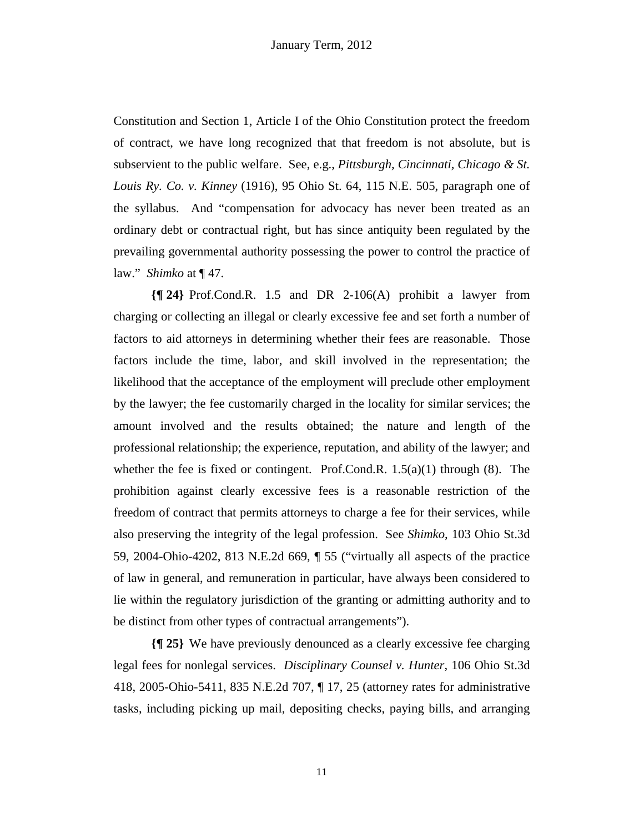Constitution and Section 1, Article I of the Ohio Constitution protect the freedom of contract, we have long recognized that that freedom is not absolute, but is subservient to the public welfare. See, e.g., *Pittsburgh, Cincinnati, Chicago & St. Louis Ry. Co. v. Kinney* (1916), 95 Ohio St. 64, 115 N.E. 505, paragraph one of the syllabus. And "compensation for advocacy has never been treated as an ordinary debt or contractual right, but has since antiquity been regulated by the prevailing governmental authority possessing the power to control the practice of law." *Shimko* at ¶ 47.

**{¶ 24}** Prof.Cond.R. 1.5 and DR 2-106(A) prohibit a lawyer from charging or collecting an illegal or clearly excessive fee and set forth a number of factors to aid attorneys in determining whether their fees are reasonable. Those factors include the time, labor, and skill involved in the representation; the likelihood that the acceptance of the employment will preclude other employment by the lawyer; the fee customarily charged in the locality for similar services; the amount involved and the results obtained; the nature and length of the professional relationship; the experience, reputation, and ability of the lawyer; and whether the fee is fixed or contingent. Prof.Cond.R.  $1.5(a)(1)$  through  $(8)$ . The prohibition against clearly excessive fees is a reasonable restriction of the freedom of contract that permits attorneys to charge a fee for their services, while also preserving the integrity of the legal profession. See *Shimko*, 103 Ohio St.3d 59, 2004-Ohio-4202, 813 N.E.2d 669, ¶ 55 ("virtually all aspects of the practice of law in general, and remuneration in particular, have always been considered to lie within the regulatory jurisdiction of the granting or admitting authority and to be distinct from other types of contractual arrangements").

**{¶ 25}** We have previously denounced as a clearly excessive fee charging legal fees for nonlegal services. *Disciplinary Counsel v. Hunter*, 106 Ohio St.3d 418, 2005-Ohio-5411, 835 N.E.2d 707, ¶ 17, 25 (attorney rates for administrative tasks, including picking up mail, depositing checks, paying bills, and arranging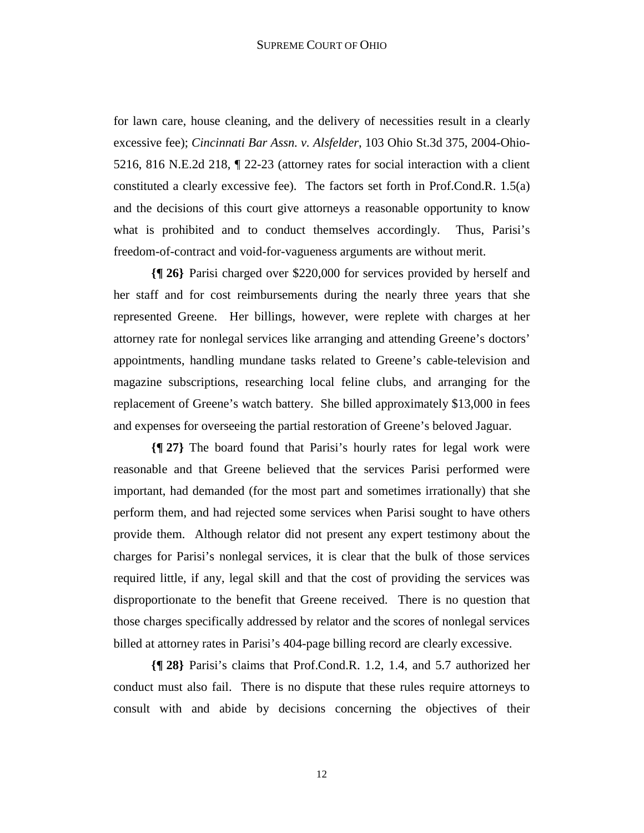## SUPREME COURT OF OHIO

for lawn care, house cleaning, and the delivery of necessities result in a clearly excessive fee); *Cincinnati Bar Assn. v. Alsfelder*, 103 Ohio St.3d 375, 2004-Ohio-5216, 816 N.E.2d 218, ¶ 22-23 (attorney rates for social interaction with a client constituted a clearly excessive fee). The factors set forth in Prof.Cond.R. 1.5(a) and the decisions of this court give attorneys a reasonable opportunity to know what is prohibited and to conduct themselves accordingly. Thus, Parisi's freedom-of-contract and void-for-vagueness arguments are without merit.

**{¶ 26}** Parisi charged over \$220,000 for services provided by herself and her staff and for cost reimbursements during the nearly three years that she represented Greene. Her billings, however, were replete with charges at her attorney rate for nonlegal services like arranging and attending Greene's doctors' appointments, handling mundane tasks related to Greene's cable-television and magazine subscriptions, researching local feline clubs, and arranging for the replacement of Greene's watch battery. She billed approximately \$13,000 in fees and expenses for overseeing the partial restoration of Greene's beloved Jaguar.

**{¶ 27}** The board found that Parisi's hourly rates for legal work were reasonable and that Greene believed that the services Parisi performed were important, had demanded (for the most part and sometimes irrationally) that she perform them, and had rejected some services when Parisi sought to have others provide them. Although relator did not present any expert testimony about the charges for Parisi's nonlegal services, it is clear that the bulk of those services required little, if any, legal skill and that the cost of providing the services was disproportionate to the benefit that Greene received. There is no question that those charges specifically addressed by relator and the scores of nonlegal services billed at attorney rates in Parisi's 404-page billing record are clearly excessive.

**{¶ 28}** Parisi's claims that Prof.Cond.R. 1.2, 1.4, and 5.7 authorized her conduct must also fail. There is no dispute that these rules require attorneys to consult with and abide by decisions concerning the objectives of their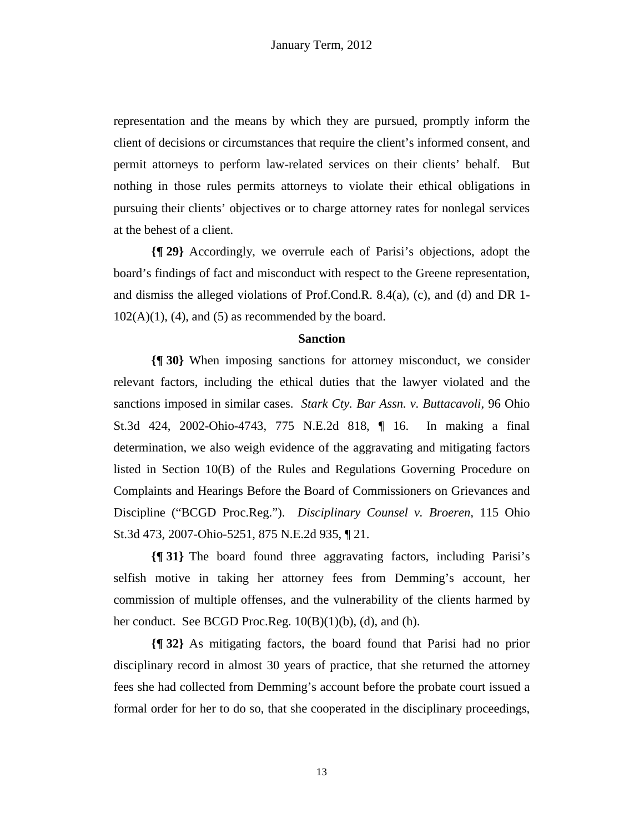representation and the means by which they are pursued, promptly inform the client of decisions or circumstances that require the client's informed consent, and permit attorneys to perform law-related services on their clients' behalf. But nothing in those rules permits attorneys to violate their ethical obligations in pursuing their clients' objectives or to charge attorney rates for nonlegal services at the behest of a client.

**{¶ 29}** Accordingly, we overrule each of Parisi's objections, adopt the board's findings of fact and misconduct with respect to the Greene representation, and dismiss the alleged violations of Prof.Cond.R. 8.4(a), (c), and (d) and DR 1-  $102(A)(1)$ , (4), and (5) as recommended by the board.

# **Sanction**

**{¶ 30}** When imposing sanctions for attorney misconduct, we consider relevant factors, including the ethical duties that the lawyer violated and the sanctions imposed in similar cases. *Stark Cty. Bar Assn. v. Buttacavoli*, 96 Ohio St.3d 424, 2002-Ohio-4743, 775 N.E.2d 818, ¶ 16. In making a final determination, we also weigh evidence of the aggravating and mitigating factors listed in Section 10(B) of the Rules and Regulations Governing Procedure on Complaints and Hearings Before the Board of Commissioners on Grievances and Discipline ("BCGD Proc.Reg."). *Disciplinary Counsel v. Broeren,* 115 Ohio St.3d 473, 2007-Ohio-5251, 875 N.E.2d 935, ¶ 21.

**{¶ 31}** The board found three aggravating factors, including Parisi's selfish motive in taking her attorney fees from Demming's account, her commission of multiple offenses, and the vulnerability of the clients harmed by her conduct. See BCGD Proc.Reg.  $10(B)(1)(b)$ , (d), and (h).

**{¶ 32}** As mitigating factors, the board found that Parisi had no prior disciplinary record in almost 30 years of practice, that she returned the attorney fees she had collected from Demming's account before the probate court issued a formal order for her to do so, that she cooperated in the disciplinary proceedings,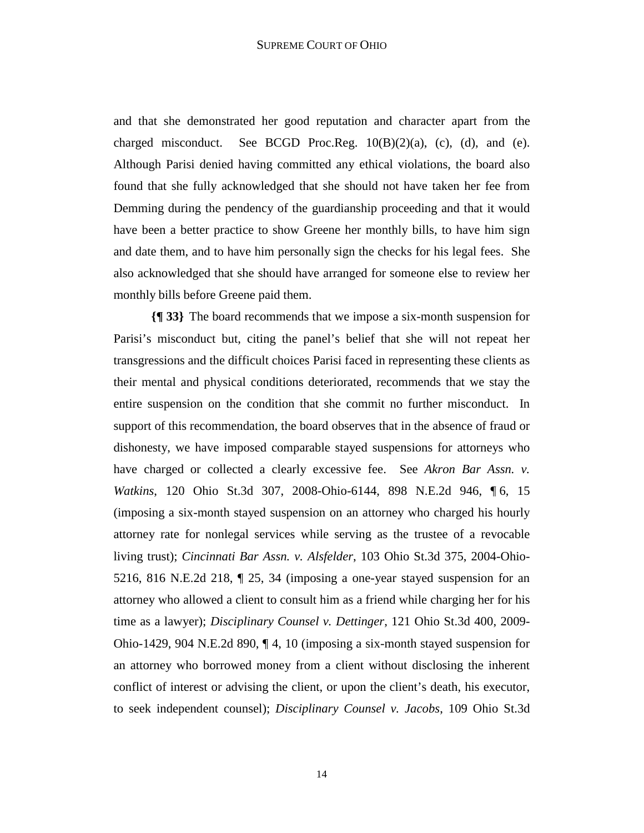and that she demonstrated her good reputation and character apart from the charged misconduct. See BCGD Proc.Reg.  $10(B)(2)(a)$ , (c), (d), and (e). Although Parisi denied having committed any ethical violations, the board also found that she fully acknowledged that she should not have taken her fee from Demming during the pendency of the guardianship proceeding and that it would have been a better practice to show Greene her monthly bills, to have him sign and date them, and to have him personally sign the checks for his legal fees. She also acknowledged that she should have arranged for someone else to review her monthly bills before Greene paid them.

**{¶ 33}** The board recommends that we impose a six-month suspension for Parisi's misconduct but, citing the panel's belief that she will not repeat her transgressions and the difficult choices Parisi faced in representing these clients as their mental and physical conditions deteriorated, recommends that we stay the entire suspension on the condition that she commit no further misconduct. In support of this recommendation, the board observes that in the absence of fraud or dishonesty, we have imposed comparable stayed suspensions for attorneys who have charged or collected a clearly excessive fee. See *Akron Bar Assn. v. Watkins*, 120 Ohio St.3d 307, 2008-Ohio-6144, 898 N.E.2d 946, ¶ 6, 15 (imposing a six-month stayed suspension on an attorney who charged his hourly attorney rate for nonlegal services while serving as the trustee of a revocable living trust); *Cincinnati Bar Assn. v. Alsfelder*, 103 Ohio St.3d 375, 2004-Ohio-5216, 816 N.E.2d 218, ¶ 25, 34 (imposing a one-year stayed suspension for an attorney who allowed a client to consult him as a friend while charging her for his time as a lawyer); *Disciplinary Counsel v. Dettinger*, 121 Ohio St.3d 400, 2009- Ohio-1429, 904 N.E.2d 890, ¶ 4, 10 (imposing a six-month stayed suspension for an attorney who borrowed money from a client without disclosing the inherent conflict of interest or advising the client, or upon the client's death, his executor, to seek independent counsel); *Disciplinary Counsel v. Jacobs*, 109 Ohio St.3d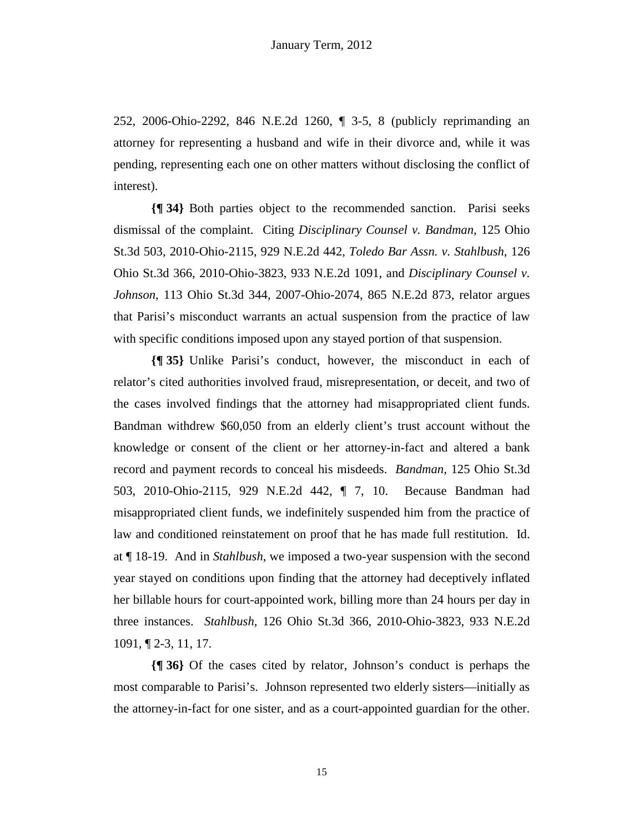252, 2006-Ohio-2292, 846 N.E.2d 1260, ¶ 3-5, 8 (publicly reprimanding an attorney for representing a husband and wife in their divorce and, while it was pending, representing each one on other matters without disclosing the conflict of interest).

**{¶ 34}** Both parties object to the recommended sanction. Parisi seeks dismissal of the complaint. Citing *Disciplinary Counsel v. Bandman*, 125 Ohio St.3d 503, 2010-Ohio-2115, 929 N.E.2d 442, *Toledo Bar Assn. v. Stahlbush*, 126 Ohio St.3d 366, 2010-Ohio-3823, 933 N.E.2d 1091, and *Disciplinary Counsel v. Johnson*, 113 Ohio St.3d 344, 2007-Ohio-2074, 865 N.E.2d 873, relator argues that Parisi's misconduct warrants an actual suspension from the practice of law with specific conditions imposed upon any stayed portion of that suspension.

**{¶ 35}** Unlike Parisi's conduct, however, the misconduct in each of relator's cited authorities involved fraud, misrepresentation, or deceit, and two of the cases involved findings that the attorney had misappropriated client funds. Bandman withdrew \$60,050 from an elderly client's trust account without the knowledge or consent of the client or her attorney-in-fact and altered a bank record and payment records to conceal his misdeeds. *Bandman*, 125 Ohio St.3d 503, 2010-Ohio-2115, 929 N.E.2d 442, ¶ 7, 10. Because Bandman had misappropriated client funds, we indefinitely suspended him from the practice of law and conditioned reinstatement on proof that he has made full restitution. Id. at ¶ 18-19. And in *Stahlbush*, we imposed a two-year suspension with the second year stayed on conditions upon finding that the attorney had deceptively inflated her billable hours for court-appointed work, billing more than 24 hours per day in three instances. *Stahlbush*, 126 Ohio St.3d 366, 2010-Ohio-3823, 933 N.E.2d 1091, ¶ 2-3, 11, 17.

**{¶ 36}** Of the cases cited by relator, Johnson's conduct is perhaps the most comparable to Parisi's. Johnson represented two elderly sisters—initially as the attorney-in-fact for one sister, and as a court-appointed guardian for the other.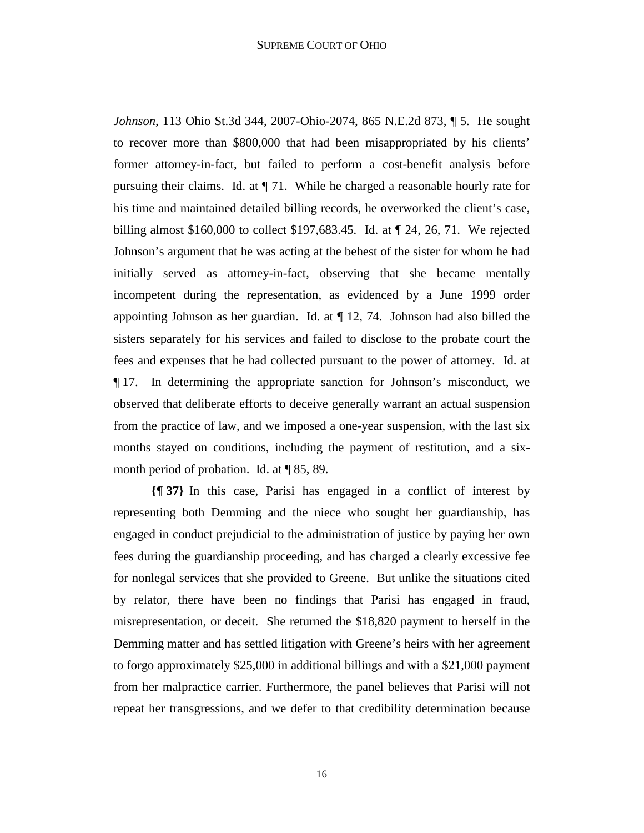*Johnson*, 113 Ohio St.3d 344, 2007-Ohio-2074, 865 N.E.2d 873, ¶ 5. He sought to recover more than \$800,000 that had been misappropriated by his clients' former attorney-in-fact, but failed to perform a cost-benefit analysis before pursuing their claims. Id. at ¶ 71. While he charged a reasonable hourly rate for his time and maintained detailed billing records, he overworked the client's case, billing almost \$160,000 to collect \$197,683.45. Id. at ¶ 24, 26, 71. We rejected Johnson's argument that he was acting at the behest of the sister for whom he had initially served as attorney-in-fact, observing that she became mentally incompetent during the representation, as evidenced by a June 1999 order appointing Johnson as her guardian. Id. at ¶ 12, 74. Johnson had also billed the sisters separately for his services and failed to disclose to the probate court the fees and expenses that he had collected pursuant to the power of attorney. Id. at ¶ 17. In determining the appropriate sanction for Johnson's misconduct, we observed that deliberate efforts to deceive generally warrant an actual suspension from the practice of law, and we imposed a one-year suspension, with the last six months stayed on conditions, including the payment of restitution, and a sixmonth period of probation. Id. at ¶ 85, 89.

**{¶ 37}** In this case, Parisi has engaged in a conflict of interest by representing both Demming and the niece who sought her guardianship, has engaged in conduct prejudicial to the administration of justice by paying her own fees during the guardianship proceeding, and has charged a clearly excessive fee for nonlegal services that she provided to Greene. But unlike the situations cited by relator, there have been no findings that Parisi has engaged in fraud, misrepresentation, or deceit. She returned the \$18,820 payment to herself in the Demming matter and has settled litigation with Greene's heirs with her agreement to forgo approximately \$25,000 in additional billings and with a \$21,000 payment from her malpractice carrier. Furthermore, the panel believes that Parisi will not repeat her transgressions, and we defer to that credibility determination because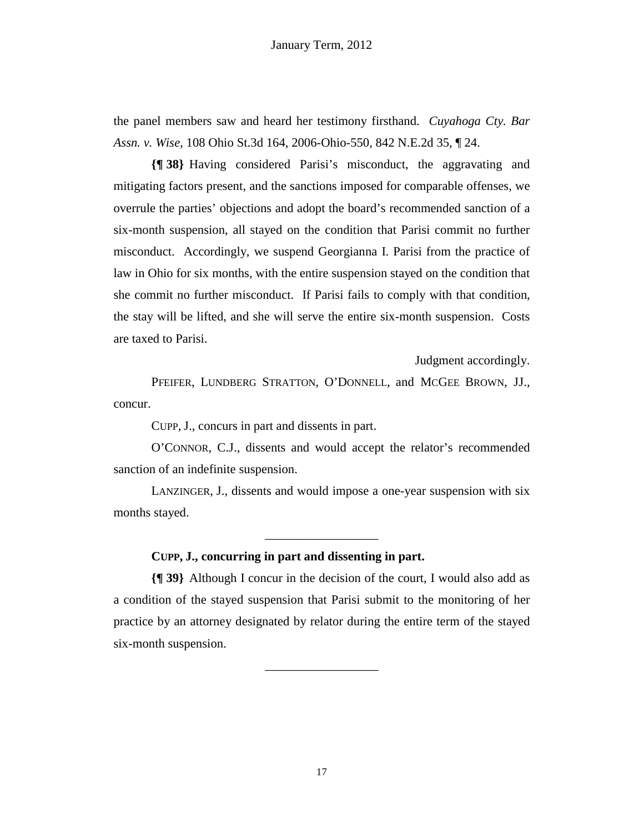the panel members saw and heard her testimony firsthand. *Cuyahoga Cty. Bar Assn. v. Wise*, 108 Ohio St.3d 164, 2006-Ohio-550, 842 N.E.2d 35, ¶ 24.

**{¶ 38}** Having considered Parisi's misconduct, the aggravating and mitigating factors present, and the sanctions imposed for comparable offenses, we overrule the parties' objections and adopt the board's recommended sanction of a six-month suspension, all stayed on the condition that Parisi commit no further misconduct. Accordingly, we suspend Georgianna I. Parisi from the practice of law in Ohio for six months, with the entire suspension stayed on the condition that she commit no further misconduct. If Parisi fails to comply with that condition, the stay will be lifted, and she will serve the entire six-month suspension. Costs are taxed to Parisi.

Judgment accordingly.

PFEIFER, LUNDBERG STRATTON, O'DONNELL, and MCGEE BROWN, JJ., concur.

CUPP, J., concurs in part and dissents in part.

O'CONNOR, C.J., dissents and would accept the relator's recommended sanction of an indefinite suspension.

LANZINGER, J., dissents and would impose a one-year suspension with six months stayed.

\_\_\_\_\_\_\_\_\_\_\_\_\_\_\_\_\_\_

# **CUPP, J., concurring in part and dissenting in part.**

**{¶ 39}** Although I concur in the decision of the court, I would also add as a condition of the stayed suspension that Parisi submit to the monitoring of her practice by an attorney designated by relator during the entire term of the stayed six-month suspension.

\_\_\_\_\_\_\_\_\_\_\_\_\_\_\_\_\_\_